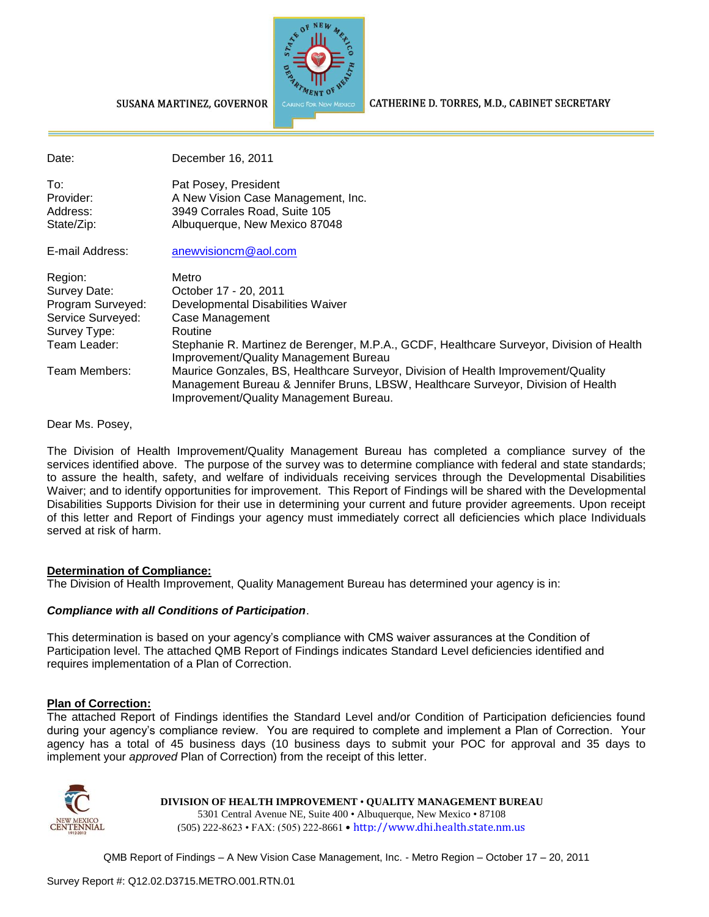

CATHERINE D. TORRES, M.D., CABINET SECRETARY

#### SUSANA MARTINEZ, GOVERNOR

| Date:                                      | December 16, 2011                                                                                                                                                                                                |
|--------------------------------------------|------------------------------------------------------------------------------------------------------------------------------------------------------------------------------------------------------------------|
| To:<br>Provider:<br>Address:<br>State/Zip: | Pat Posey, President<br>A New Vision Case Management, Inc.<br>3949 Corrales Road, Suite 105<br>Albuquerque, New Mexico 87048                                                                                     |
| E-mail Address:                            | anewvisioncm@aol.com                                                                                                                                                                                             |
| Region:                                    | Metro                                                                                                                                                                                                            |
| Survey Date:                               | October 17 - 20, 2011                                                                                                                                                                                            |
| Program Surveyed:                          | Developmental Disabilities Waiver                                                                                                                                                                                |
| Service Surveyed:                          | Case Management                                                                                                                                                                                                  |
| Survey Type:                               | Routine                                                                                                                                                                                                          |
| Team Leader:                               | Stephanie R. Martinez de Berenger, M.P.A., GCDF, Healthcare Surveyor, Division of Health<br>Improvement/Quality Management Bureau                                                                                |
| Team Members:                              | Maurice Gonzales, BS, Healthcare Surveyor, Division of Health Improvement/Quality<br>Management Bureau & Jennifer Bruns, LBSW, Healthcare Surveyor, Division of Health<br>Improvement/Quality Management Bureau. |

Dear Ms. Posey,

The Division of Health Improvement/Quality Management Bureau has completed a compliance survey of the services identified above. The purpose of the survey was to determine compliance with federal and state standards; to assure the health, safety, and welfare of individuals receiving services through the Developmental Disabilities Waiver; and to identify opportunities for improvement. This Report of Findings will be shared with the Developmental Disabilities Supports Division for their use in determining your current and future provider agreements. Upon receipt of this letter and Report of Findings your agency must immediately correct all deficiencies which place Individuals served at risk of harm.

#### **Determination of Compliance:**

The Division of Health Improvement, Quality Management Bureau has determined your agency is in:

### *Compliance with all Conditions of Participation*.

This determination is based on your agency's compliance with CMS waiver assurances at the Condition of Participation level. The attached QMB Report of Findings indicates Standard Level deficiencies identified and requires implementation of a Plan of Correction.

### **Plan of Correction:**

The attached Report of Findings identifies the Standard Level and/or Condition of Participation deficiencies found during your agency's compliance review. You are required to complete and implement a Plan of Correction. Your agency has a total of 45 business days (10 business days to submit your POC for approval and 35 days to implement your *approved* Plan of Correction) from the receipt of this letter.



**DIVISION OF HEALTH IMPROVEMENT** • **QUALITY MANAGEMENT BUREAU** 5301 Central Avenue NE, Suite 400 • Albuquerque, New Mexico • 87108 (505) 222-8623 • FAX: (505) 222-8661 • http://www.dhi.health.state.nm.us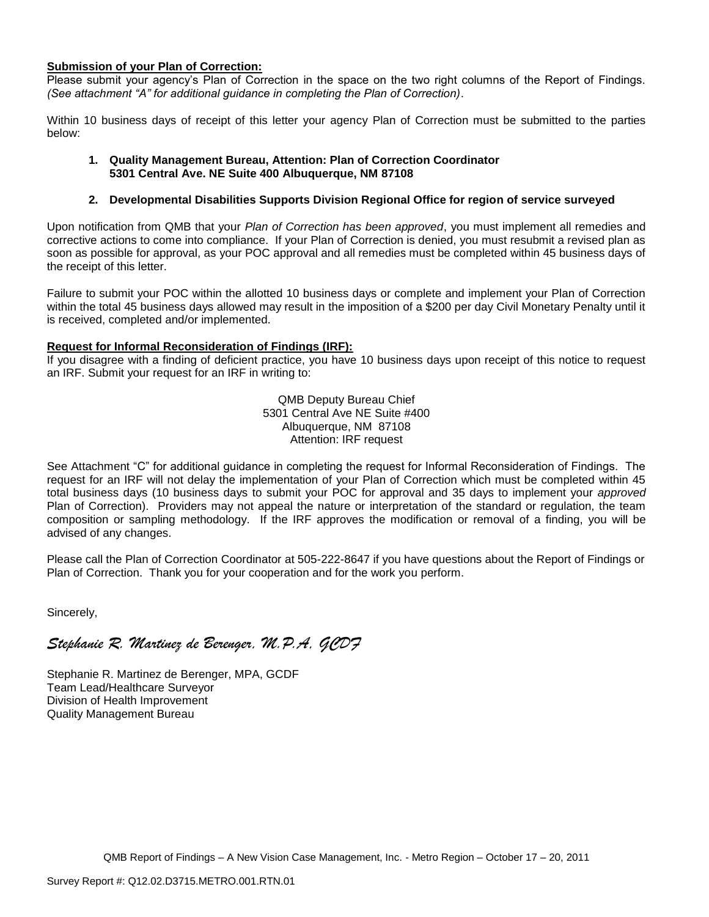#### **Submission of your Plan of Correction:**

Please submit your agency's Plan of Correction in the space on the two right columns of the Report of Findings. *(See attachment "A" for additional guidance in completing the Plan of Correction)*.

Within 10 business days of receipt of this letter your agency Plan of Correction must be submitted to the parties below:

#### **1. Quality Management Bureau, Attention: Plan of Correction Coordinator 5301 Central Ave. NE Suite 400 Albuquerque, NM 87108**

#### **2. Developmental Disabilities Supports Division Regional Office for region of service surveyed**

Upon notification from QMB that your *Plan of Correction has been approved*, you must implement all remedies and corrective actions to come into compliance. If your Plan of Correction is denied, you must resubmit a revised plan as soon as possible for approval, as your POC approval and all remedies must be completed within 45 business days of the receipt of this letter.

Failure to submit your POC within the allotted 10 business days or complete and implement your Plan of Correction within the total 45 business days allowed may result in the imposition of a \$200 per day Civil Monetary Penalty until it is received, completed and/or implemented.

#### **Request for Informal Reconsideration of Findings (IRF):**

If you disagree with a finding of deficient practice, you have 10 business days upon receipt of this notice to request an IRF. Submit your request for an IRF in writing to:

> QMB Deputy Bureau Chief 5301 Central Ave NE Suite #400 Albuquerque, NM 87108 Attention: IRF request

See Attachment "C" for additional guidance in completing the request for Informal Reconsideration of Findings. The request for an IRF will not delay the implementation of your Plan of Correction which must be completed within 45 total business days (10 business days to submit your POC for approval and 35 days to implement your *approved* Plan of Correction). Providers may not appeal the nature or interpretation of the standard or regulation, the team composition or sampling methodology. If the IRF approves the modification or removal of a finding, you will be advised of any changes.

Please call the Plan of Correction Coordinator at 505-222-8647 if you have questions about the Report of Findings or Plan of Correction. Thank you for your cooperation and for the work you perform.

Sincerely,

*Stephanie R. Martinez de Berenger, M.P.A, GCDF* 

Stephanie R. Martinez de Berenger, MPA, GCDF Team Lead/Healthcare Surveyor Division of Health Improvement Quality Management Bureau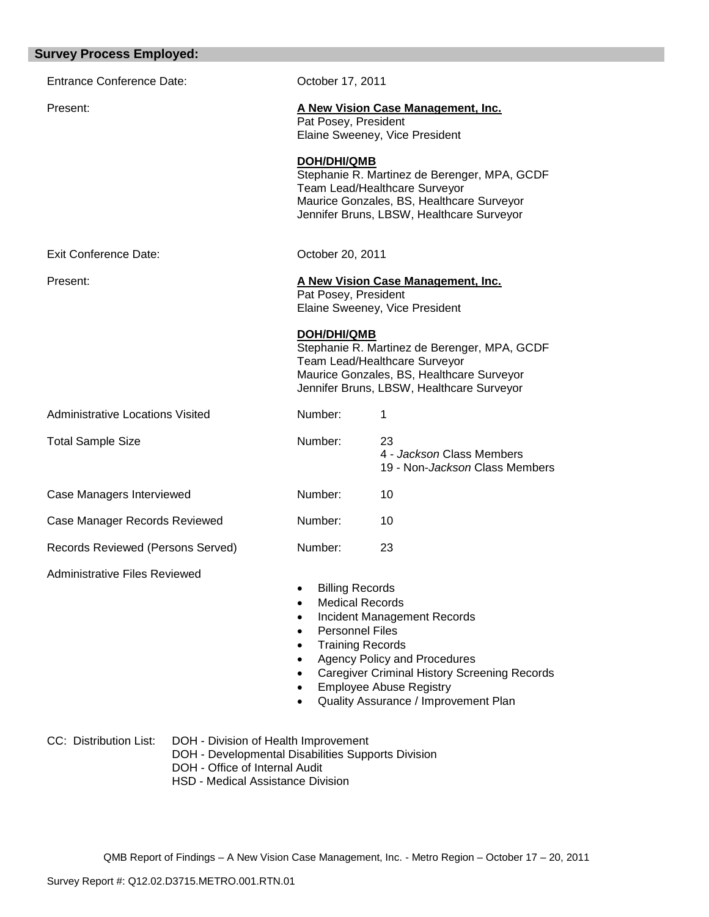| <b>Entrance Conference Date:</b>        | October 17, 2011                                                                                      |                                                                                                                                                                                                            |
|-----------------------------------------|-------------------------------------------------------------------------------------------------------|------------------------------------------------------------------------------------------------------------------------------------------------------------------------------------------------------------|
| Present:                                | Pat Posey, President                                                                                  | A New Vision Case Management, Inc.<br>Elaine Sweeney, Vice President                                                                                                                                       |
|                                         | <b>DOH/DHI/QMB</b>                                                                                    | Stephanie R. Martinez de Berenger, MPA, GCDF<br>Team Lead/Healthcare Surveyor<br>Maurice Gonzales, BS, Healthcare Surveyor<br>Jennifer Bruns, LBSW, Healthcare Surveyor                                    |
| <b>Exit Conference Date:</b>            | October 20, 2011                                                                                      |                                                                                                                                                                                                            |
| Present:                                | Pat Posey, President                                                                                  | A New Vision Case Management, Inc.<br>Elaine Sweeney, Vice President                                                                                                                                       |
|                                         | <b>DOH/DHI/QMB</b>                                                                                    | Stephanie R. Martinez de Berenger, MPA, GCDF<br>Team Lead/Healthcare Surveyor<br>Maurice Gonzales, BS, Healthcare Surveyor<br>Jennifer Bruns, LBSW, Healthcare Surveyor                                    |
| <b>Administrative Locations Visited</b> | Number:                                                                                               | 1                                                                                                                                                                                                          |
| <b>Total Sample Size</b>                | Number:                                                                                               | 23<br>4 - Jackson Class Members<br>19 - Non- <i>Jackson</i> Class Members                                                                                                                                  |
| Case Managers Interviewed               | Number:                                                                                               | 10                                                                                                                                                                                                         |
| Case Manager Records Reviewed           | Number:                                                                                               | 10                                                                                                                                                                                                         |
| Records Reviewed (Persons Served)       | Number:                                                                                               | 23                                                                                                                                                                                                         |
| <b>Administrative Files Reviewed</b>    | <b>Billing Records</b><br><b>Medical Records</b><br><b>Personnel Files</b><br><b>Training Records</b> | <b>Incident Management Records</b><br><b>Agency Policy and Procedures</b><br><b>Caregiver Criminal History Screening Records</b><br><b>Employee Abuse Registry</b><br>Quality Assurance / Improvement Plan |

- DOH Developmental Disabilities Supports Division
- DOH Office of Internal Audit
- HSD Medical Assistance Division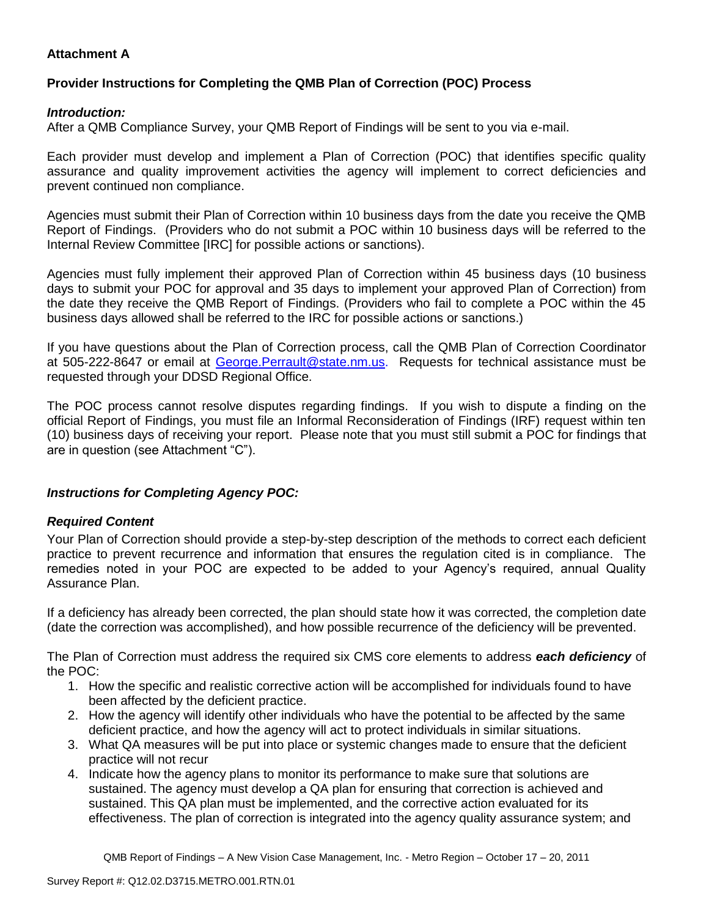# **Attachment A**

# **Provider Instructions for Completing the QMB Plan of Correction (POC) Process**

### *Introduction:*

After a QMB Compliance Survey, your QMB Report of Findings will be sent to you via e-mail.

Each provider must develop and implement a Plan of Correction (POC) that identifies specific quality assurance and quality improvement activities the agency will implement to correct deficiencies and prevent continued non compliance.

Agencies must submit their Plan of Correction within 10 business days from the date you receive the QMB Report of Findings. (Providers who do not submit a POC within 10 business days will be referred to the Internal Review Committee [IRC] for possible actions or sanctions).

Agencies must fully implement their approved Plan of Correction within 45 business days (10 business days to submit your POC for approval and 35 days to implement your approved Plan of Correction) from the date they receive the QMB Report of Findings. (Providers who fail to complete a POC within the 45 business days allowed shall be referred to the IRC for possible actions or sanctions.)

If you have questions about the Plan of Correction process, call the QMB Plan of Correction Coordinator at 505-222-8647 or email at George. Perrault@state.nm.us. Requests for technical assistance must be requested through your DDSD Regional Office.

The POC process cannot resolve disputes regarding findings. If you wish to dispute a finding on the official Report of Findings, you must file an Informal Reconsideration of Findings (IRF) request within ten (10) business days of receiving your report. Please note that you must still submit a POC for findings that are in question (see Attachment "C").

## *Instructions for Completing Agency POC:*

## *Required Content*

Your Plan of Correction should provide a step-by-step description of the methods to correct each deficient practice to prevent recurrence and information that ensures the regulation cited is in compliance. The remedies noted in your POC are expected to be added to your Agency's required, annual Quality Assurance Plan.

If a deficiency has already been corrected, the plan should state how it was corrected, the completion date (date the correction was accomplished), and how possible recurrence of the deficiency will be prevented.

The Plan of Correction must address the required six CMS core elements to address *each deficiency* of the POC:

- 1. How the specific and realistic corrective action will be accomplished for individuals found to have been affected by the deficient practice.
- 2. How the agency will identify other individuals who have the potential to be affected by the same deficient practice, and how the agency will act to protect individuals in similar situations.
- 3. What QA measures will be put into place or systemic changes made to ensure that the deficient practice will not recur
- 4. Indicate how the agency plans to monitor its performance to make sure that solutions are sustained. The agency must develop a QA plan for ensuring that correction is achieved and sustained. This QA plan must be implemented, and the corrective action evaluated for its effectiveness. The plan of correction is integrated into the agency quality assurance system; and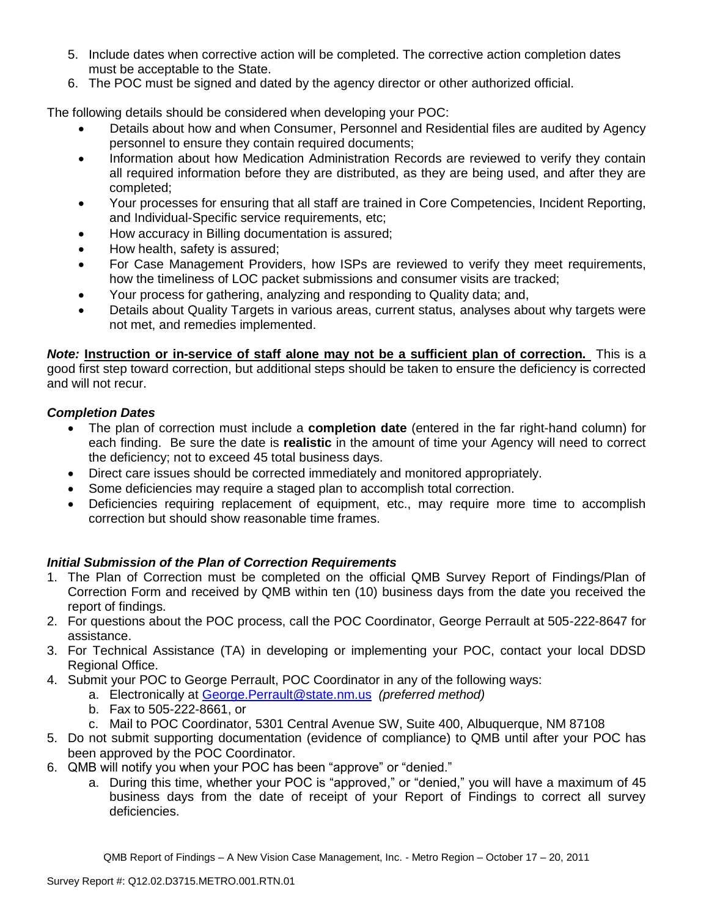- 5. Include dates when corrective action will be completed. The corrective action completion dates must be acceptable to the State.
- 6. The POC must be signed and dated by the agency director or other authorized official.

The following details should be considered when developing your POC:

- Details about how and when Consumer, Personnel and Residential files are audited by Agency personnel to ensure they contain required documents;
- Information about how Medication Administration Records are reviewed to verify they contain all required information before they are distributed, as they are being used, and after they are completed;
- Your processes for ensuring that all staff are trained in Core Competencies, Incident Reporting, and Individual-Specific service requirements, etc;
- How accuracy in Billing documentation is assured;
- How health, safety is assured;
- For Case Management Providers, how ISPs are reviewed to verify they meet requirements, how the timeliness of LOC packet submissions and consumer visits are tracked;
- Your process for gathering, analyzing and responding to Quality data; and,
- Details about Quality Targets in various areas, current status, analyses about why targets were not met, and remedies implemented.

*Note:* **Instruction or in-service of staff alone may not be a sufficient plan of correction.** This is a good first step toward correction, but additional steps should be taken to ensure the deficiency is corrected and will not recur.

## *Completion Dates*

- The plan of correction must include a **completion date** (entered in the far right-hand column) for each finding. Be sure the date is **realistic** in the amount of time your Agency will need to correct the deficiency; not to exceed 45 total business days.
- Direct care issues should be corrected immediately and monitored appropriately.
- Some deficiencies may require a staged plan to accomplish total correction.
- Deficiencies requiring replacement of equipment, etc., may require more time to accomplish correction but should show reasonable time frames.

## *Initial Submission of the Plan of Correction Requirements*

- 1. The Plan of Correction must be completed on the official QMB Survey Report of Findings/Plan of Correction Form and received by QMB within ten (10) business days from the date you received the report of findings.
- 2. For questions about the POC process, call the POC Coordinator, George Perrault at 505-222-8647 for assistance.
- 3. For Technical Assistance (TA) in developing or implementing your POC, contact your local DDSD Regional Office.
- 4. Submit your POC to George Perrault, POC Coordinator in any of the following ways:
	- a. Electronically at [George.Perrault@state.nm.us](mailto:George.Perrault@state.nm.us) *(preferred method)*
	- b. Fax to 505-222-8661, or
	- c. Mail to POC Coordinator, 5301 Central Avenue SW, Suite 400, Albuquerque, NM 87108
- 5. Do not submit supporting documentation (evidence of compliance) to QMB until after your POC has been approved by the POC Coordinator.
- 6. QMB will notify you when your POC has been "approve" or "denied."
	- a. During this time, whether your POC is "approved," or "denied," you will have a maximum of 45 business days from the date of receipt of your Report of Findings to correct all survey deficiencies.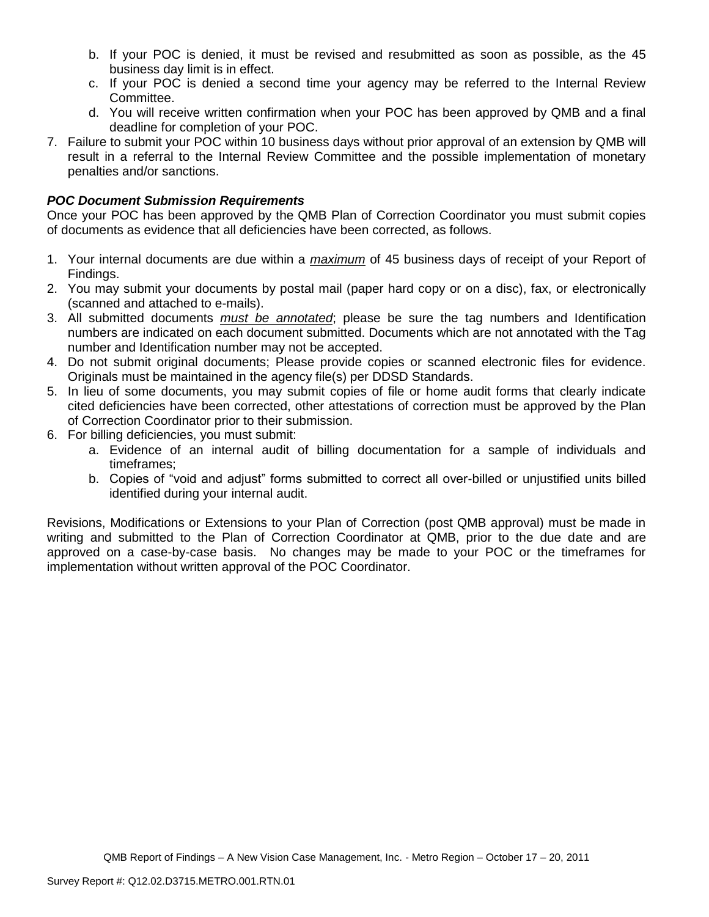- b. If your POC is denied, it must be revised and resubmitted as soon as possible, as the 45 business day limit is in effect.
- c. If your POC is denied a second time your agency may be referred to the Internal Review Committee.
- d. You will receive written confirmation when your POC has been approved by QMB and a final deadline for completion of your POC.
- 7. Failure to submit your POC within 10 business days without prior approval of an extension by QMB will result in a referral to the Internal Review Committee and the possible implementation of monetary penalties and/or sanctions.

## *POC Document Submission Requirements*

Once your POC has been approved by the QMB Plan of Correction Coordinator you must submit copies of documents as evidence that all deficiencies have been corrected, as follows.

- 1. Your internal documents are due within a *maximum* of 45 business days of receipt of your Report of Findings.
- 2. You may submit your documents by postal mail (paper hard copy or on a disc), fax, or electronically (scanned and attached to e-mails).
- 3. All submitted documents *must be annotated*; please be sure the tag numbers and Identification numbers are indicated on each document submitted. Documents which are not annotated with the Tag number and Identification number may not be accepted.
- 4. Do not submit original documents; Please provide copies or scanned electronic files for evidence. Originals must be maintained in the agency file(s) per DDSD Standards.
- 5. In lieu of some documents, you may submit copies of file or home audit forms that clearly indicate cited deficiencies have been corrected, other attestations of correction must be approved by the Plan of Correction Coordinator prior to their submission.
- 6. For billing deficiencies, you must submit:
	- a. Evidence of an internal audit of billing documentation for a sample of individuals and timeframes;
	- b. Copies of "void and adjust" forms submitted to correct all over-billed or unjustified units billed identified during your internal audit.

Revisions, Modifications or Extensions to your Plan of Correction (post QMB approval) must be made in writing and submitted to the Plan of Correction Coordinator at QMB, prior to the due date and are approved on a case-by-case basis. No changes may be made to your POC or the timeframes for implementation without written approval of the POC Coordinator.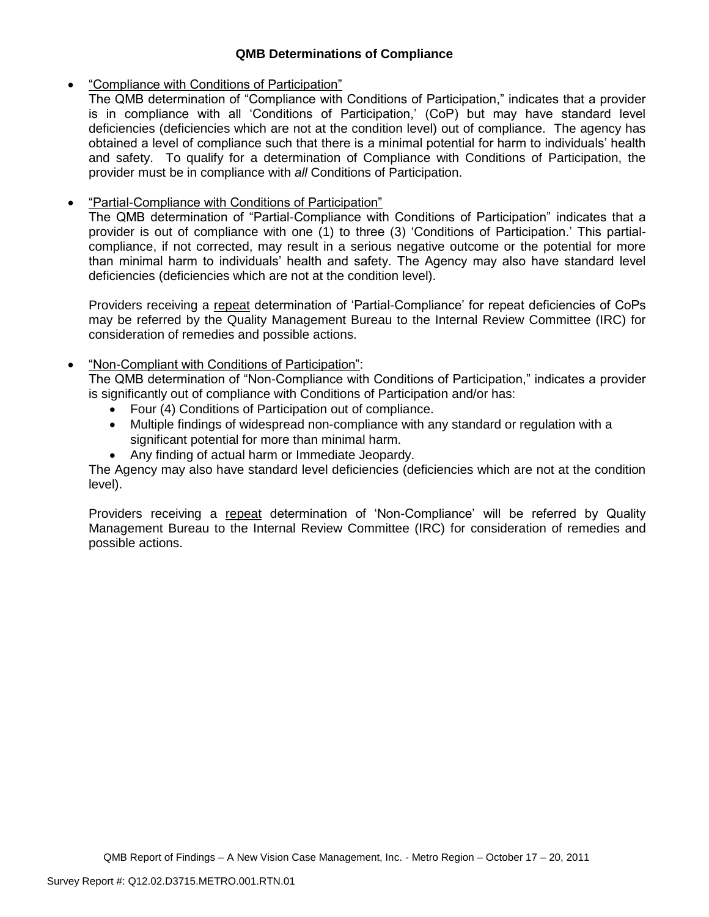## **QMB Determinations of Compliance**

## "Compliance with Conditions of Participation"

The QMB determination of "Compliance with Conditions of Participation," indicates that a provider is in compliance with all 'Conditions of Participation,' (CoP) but may have standard level deficiencies (deficiencies which are not at the condition level) out of compliance. The agency has obtained a level of compliance such that there is a minimal potential for harm to individuals' health and safety. To qualify for a determination of Compliance with Conditions of Participation, the provider must be in compliance with *all* Conditions of Participation.

# "Partial-Compliance with Conditions of Participation"

The QMB determination of "Partial-Compliance with Conditions of Participation" indicates that a provider is out of compliance with one (1) to three (3) 'Conditions of Participation.' This partialcompliance, if not corrected, may result in a serious negative outcome or the potential for more than minimal harm to individuals' health and safety. The Agency may also have standard level deficiencies (deficiencies which are not at the condition level).

Providers receiving a repeat determination of 'Partial-Compliance' for repeat deficiencies of CoPs may be referred by the Quality Management Bureau to the Internal Review Committee (IRC) for consideration of remedies and possible actions.

# "Non-Compliant with Conditions of Participation":

The QMB determination of "Non-Compliance with Conditions of Participation," indicates a provider is significantly out of compliance with Conditions of Participation and/or has:

- Four (4) Conditions of Participation out of compliance.
- Multiple findings of widespread non-compliance with any standard or regulation with a significant potential for more than minimal harm.
- Any finding of actual harm or Immediate Jeopardy.

The Agency may also have standard level deficiencies (deficiencies which are not at the condition level).

Providers receiving a repeat determination of 'Non-Compliance' will be referred by Quality Management Bureau to the Internal Review Committee (IRC) for consideration of remedies and possible actions.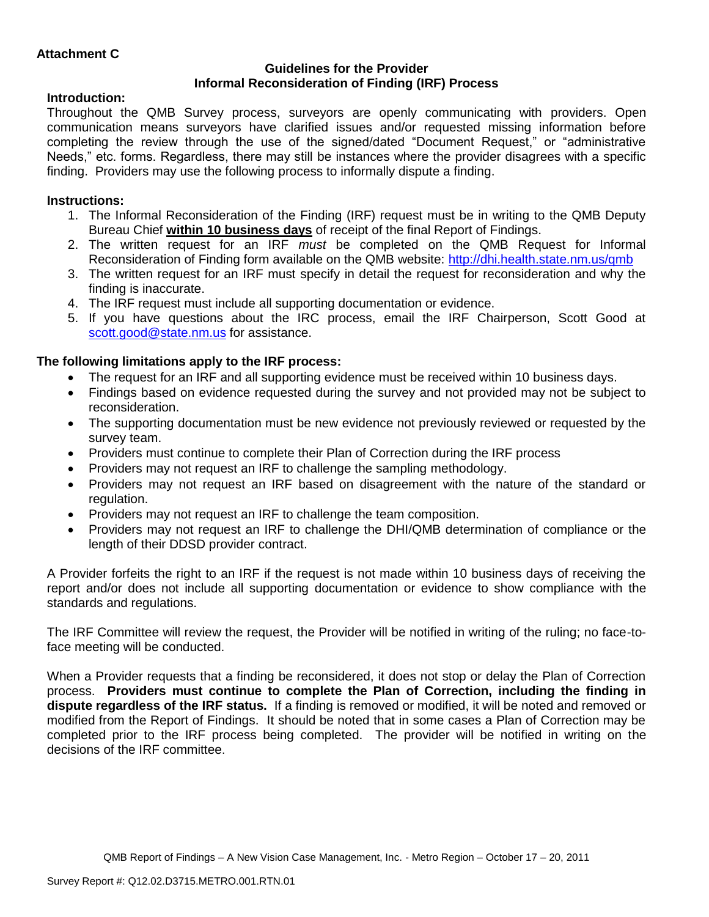### **Guidelines for the Provider Informal Reconsideration of Finding (IRF) Process**

# **Introduction:**

Throughout the QMB Survey process, surveyors are openly communicating with providers. Open communication means surveyors have clarified issues and/or requested missing information before completing the review through the use of the signed/dated "Document Request," or "administrative Needs," etc. forms. Regardless, there may still be instances where the provider disagrees with a specific finding. Providers may use the following process to informally dispute a finding.

# **Instructions:**

- 1. The Informal Reconsideration of the Finding (IRF) request must be in writing to the QMB Deputy Bureau Chief **within 10 business days** of receipt of the final Report of Findings.
- 2. The written request for an IRF *must* be completed on the QMB Request for Informal Reconsideration of Finding form available on the QMB website:<http://dhi.health.state.nm.us/qmb>
- 3. The written request for an IRF must specify in detail the request for reconsideration and why the finding is inaccurate.
- 4. The IRF request must include all supporting documentation or evidence.
- 5. If you have questions about the IRC process, email the IRF Chairperson, Scott Good at [scott.good@state.nm.us](mailto:scott.good@state.nm.us) for assistance.

# **The following limitations apply to the IRF process:**

- The request for an IRF and all supporting evidence must be received within 10 business days.
- Findings based on evidence requested during the survey and not provided may not be subject to reconsideration.
- The supporting documentation must be new evidence not previously reviewed or requested by the survey team.
- Providers must continue to complete their Plan of Correction during the IRF process
- Providers may not request an IRF to challenge the sampling methodology.
- Providers may not request an IRF based on disagreement with the nature of the standard or regulation.
- Providers may not request an IRF to challenge the team composition.
- Providers may not request an IRF to challenge the DHI/QMB determination of compliance or the length of their DDSD provider contract.

A Provider forfeits the right to an IRF if the request is not made within 10 business days of receiving the report and/or does not include all supporting documentation or evidence to show compliance with the standards and regulations.

The IRF Committee will review the request, the Provider will be notified in writing of the ruling; no face-toface meeting will be conducted.

When a Provider requests that a finding be reconsidered, it does not stop or delay the Plan of Correction process. **Providers must continue to complete the Plan of Correction, including the finding in dispute regardless of the IRF status.** If a finding is removed or modified, it will be noted and removed or modified from the Report of Findings. It should be noted that in some cases a Plan of Correction may be completed prior to the IRF process being completed. The provider will be notified in writing on the decisions of the IRF committee.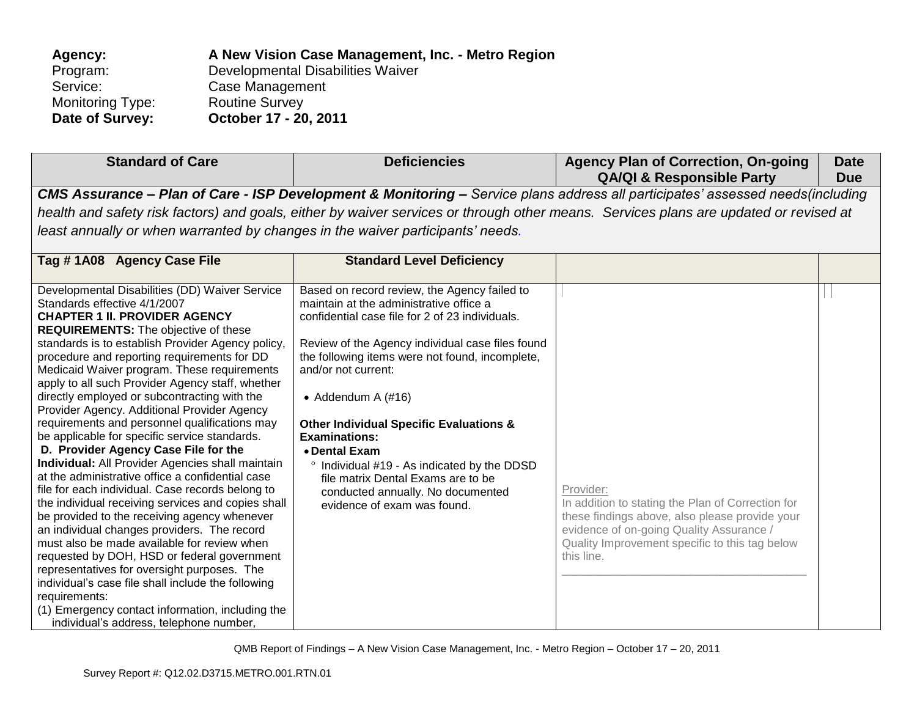| Agency:                 | A New Vision Case Management, Inc. - Metro Region |
|-------------------------|---------------------------------------------------|
| Program:                | Developmental Disabilities Waiver                 |
| Service:                | Case Management                                   |
| <b>Monitoring Type:</b> | <b>Routine Survey</b>                             |
| Date of Survey:         | October 17 - 20, 2011                             |

| <b>Standard of Care</b>                                                                                                                                                                                                                                                                                                                                                                                                                                                                                                                                                                                                                                                                                                                                                                                                                                                                                                                                                                                                                                                                                                                                                                                                                                          | <b>Deficiencies</b>                                                                                                                                                                                                                                                                                                                                                                                                                                                                                                                                                  | <b>Agency Plan of Correction, On-going</b><br><b>QA/QI &amp; Responsible Party</b>                                                                                                                                                                                      | <b>Date</b><br><b>Due</b> |
|------------------------------------------------------------------------------------------------------------------------------------------------------------------------------------------------------------------------------------------------------------------------------------------------------------------------------------------------------------------------------------------------------------------------------------------------------------------------------------------------------------------------------------------------------------------------------------------------------------------------------------------------------------------------------------------------------------------------------------------------------------------------------------------------------------------------------------------------------------------------------------------------------------------------------------------------------------------------------------------------------------------------------------------------------------------------------------------------------------------------------------------------------------------------------------------------------------------------------------------------------------------|----------------------------------------------------------------------------------------------------------------------------------------------------------------------------------------------------------------------------------------------------------------------------------------------------------------------------------------------------------------------------------------------------------------------------------------------------------------------------------------------------------------------------------------------------------------------|-------------------------------------------------------------------------------------------------------------------------------------------------------------------------------------------------------------------------------------------------------------------------|---------------------------|
| least annually or when warranted by changes in the waiver participants' needs.                                                                                                                                                                                                                                                                                                                                                                                                                                                                                                                                                                                                                                                                                                                                                                                                                                                                                                                                                                                                                                                                                                                                                                                   |                                                                                                                                                                                                                                                                                                                                                                                                                                                                                                                                                                      | CMS Assurance - Plan of Care - ISP Development & Monitoring - Service plans address all participates' assessed needs(including<br>health and safety risk factors) and goals, either by waiver services or through other means. Services plans are updated or revised at |                           |
| Tag #1A08 Agency Case File                                                                                                                                                                                                                                                                                                                                                                                                                                                                                                                                                                                                                                                                                                                                                                                                                                                                                                                                                                                                                                                                                                                                                                                                                                       | <b>Standard Level Deficiency</b>                                                                                                                                                                                                                                                                                                                                                                                                                                                                                                                                     |                                                                                                                                                                                                                                                                         |                           |
| Developmental Disabilities (DD) Waiver Service<br>Standards effective 4/1/2007<br><b>CHAPTER 1 II. PROVIDER AGENCY</b><br><b>REQUIREMENTS:</b> The objective of these<br>standards is to establish Provider Agency policy,<br>procedure and reporting requirements for DD<br>Medicaid Waiver program. These requirements<br>apply to all such Provider Agency staff, whether<br>directly employed or subcontracting with the<br>Provider Agency. Additional Provider Agency<br>requirements and personnel qualifications may<br>be applicable for specific service standards.<br>D. Provider Agency Case File for the<br><b>Individual:</b> All Provider Agencies shall maintain<br>at the administrative office a confidential case<br>file for each individual. Case records belong to<br>the individual receiving services and copies shall<br>be provided to the receiving agency whenever<br>an individual changes providers. The record<br>must also be made available for review when<br>requested by DOH, HSD or federal government<br>representatives for oversight purposes. The<br>individual's case file shall include the following<br>requirements:<br>(1) Emergency contact information, including the<br>individual's address, telephone number, | Based on record review, the Agency failed to<br>maintain at the administrative office a<br>confidential case file for 2 of 23 individuals.<br>Review of the Agency individual case files found<br>the following items were not found, incomplete,<br>and/or not current:<br>• Addendum A $(\#16)$<br><b>Other Individual Specific Evaluations &amp;</b><br><b>Examinations:</b><br>• Dental Exam<br><sup>o</sup> Individual #19 - As indicated by the DDSD<br>file matrix Dental Exams are to be<br>conducted annually. No documented<br>evidence of exam was found. | Provider:<br>In addition to stating the Plan of Correction for<br>these findings above, also please provide your<br>evidence of on-going Quality Assurance /<br>Quality Improvement specific to this tag below<br>this line.                                            |                           |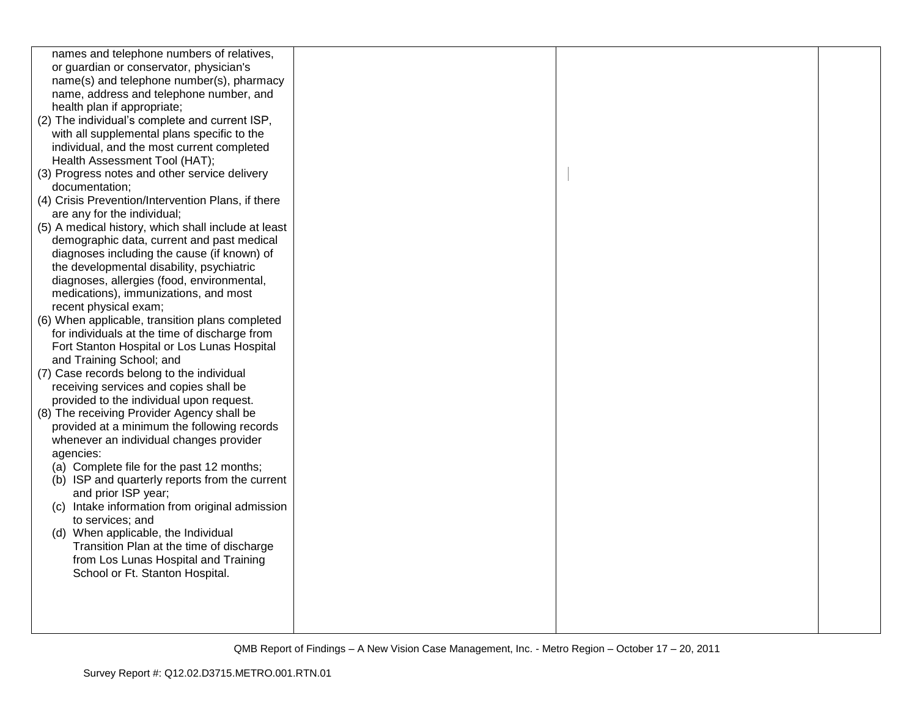| names and telephone numbers of relatives,           |  |  |
|-----------------------------------------------------|--|--|
| or guardian or conservator, physician's             |  |  |
| name(s) and telephone number(s), pharmacy           |  |  |
| name, address and telephone number, and             |  |  |
| health plan if appropriate;                         |  |  |
| (2) The individual's complete and current ISP,      |  |  |
| with all supplemental plans specific to the         |  |  |
| individual, and the most current completed          |  |  |
| Health Assessment Tool (HAT);                       |  |  |
| (3) Progress notes and other service delivery       |  |  |
| documentation;                                      |  |  |
| (4) Crisis Prevention/Intervention Plans, if there  |  |  |
| are any for the individual;                         |  |  |
| (5) A medical history, which shall include at least |  |  |
| demographic data, current and past medical          |  |  |
| diagnoses including the cause (if known) of         |  |  |
| the developmental disability, psychiatric           |  |  |
| diagnoses, allergies (food, environmental,          |  |  |
| medications), immunizations, and most               |  |  |
| recent physical exam;                               |  |  |
| (6) When applicable, transition plans completed     |  |  |
| for individuals at the time of discharge from       |  |  |
| Fort Stanton Hospital or Los Lunas Hospital         |  |  |
| and Training School; and                            |  |  |
| (7) Case records belong to the individual           |  |  |
| receiving services and copies shall be              |  |  |
| provided to the individual upon request.            |  |  |
| (8) The receiving Provider Agency shall be          |  |  |
| provided at a minimum the following records         |  |  |
| whenever an individual changes provider             |  |  |
| agencies:                                           |  |  |
| (a) Complete file for the past 12 months;           |  |  |
| (b) ISP and quarterly reports from the current      |  |  |
| and prior ISP year;                                 |  |  |
| (c) Intake information from original admission      |  |  |
| to services; and                                    |  |  |
| (d) When applicable, the Individual                 |  |  |
| Transition Plan at the time of discharge            |  |  |
| from Los Lunas Hospital and Training                |  |  |
| School or Ft. Stanton Hospital.                     |  |  |
|                                                     |  |  |
|                                                     |  |  |
|                                                     |  |  |
|                                                     |  |  |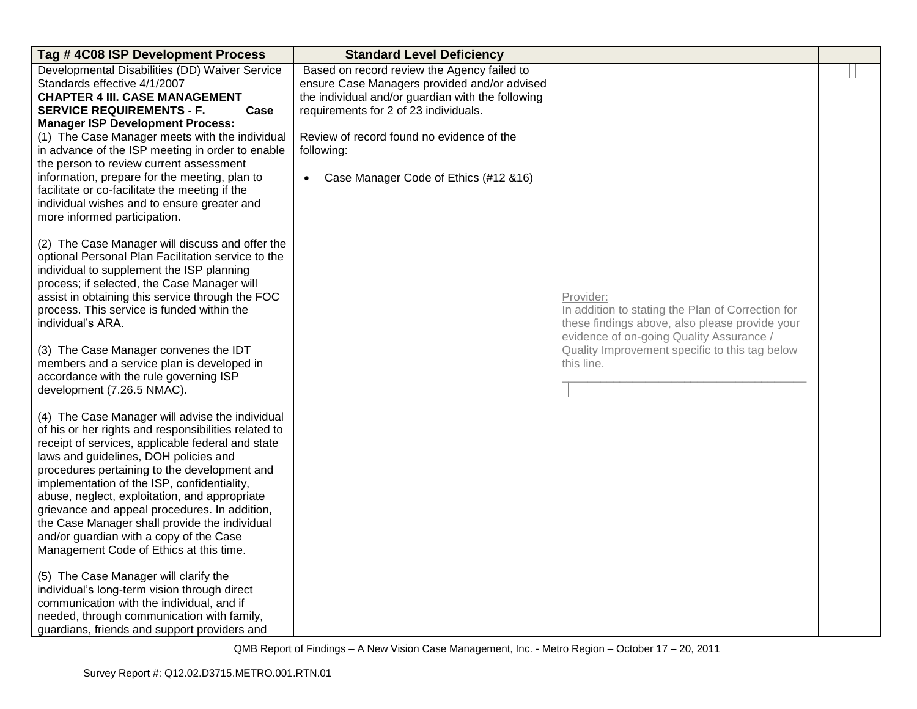| Tag #4C08 ISP Development Process                               | <b>Standard Level Deficiency</b>                  |                                                                                                     |  |
|-----------------------------------------------------------------|---------------------------------------------------|-----------------------------------------------------------------------------------------------------|--|
| Developmental Disabilities (DD) Waiver Service                  | Based on record review the Agency failed to       |                                                                                                     |  |
| Standards effective 4/1/2007                                    | ensure Case Managers provided and/or advised      |                                                                                                     |  |
| <b>CHAPTER 4 III. CASE MANAGEMENT</b>                           | the individual and/or guardian with the following |                                                                                                     |  |
| <b>SERVICE REQUIREMENTS - F.</b><br>Case                        | requirements for 2 of 23 individuals.             |                                                                                                     |  |
| <b>Manager ISP Development Process:</b>                         |                                                   |                                                                                                     |  |
| (1) The Case Manager meets with the individual                  | Review of record found no evidence of the         |                                                                                                     |  |
| in advance of the ISP meeting in order to enable                | following:                                        |                                                                                                     |  |
| the person to review current assessment                         |                                                   |                                                                                                     |  |
| information, prepare for the meeting, plan to                   | Case Manager Code of Ethics (#12 & 16)            |                                                                                                     |  |
| facilitate or co-facilitate the meeting if the                  |                                                   |                                                                                                     |  |
| individual wishes and to ensure greater and                     |                                                   |                                                                                                     |  |
| more informed participation.                                    |                                                   |                                                                                                     |  |
|                                                                 |                                                   |                                                                                                     |  |
| (2) The Case Manager will discuss and offer the                 |                                                   |                                                                                                     |  |
| optional Personal Plan Facilitation service to the              |                                                   |                                                                                                     |  |
| individual to supplement the ISP planning                       |                                                   |                                                                                                     |  |
| process; if selected, the Case Manager will                     |                                                   |                                                                                                     |  |
| assist in obtaining this service through the FOC                |                                                   | Provider:                                                                                           |  |
| process. This service is funded within the<br>individual's ARA. |                                                   | In addition to stating the Plan of Correction for<br>these findings above, also please provide your |  |
|                                                                 |                                                   | evidence of on-going Quality Assurance /                                                            |  |
| (3) The Case Manager convenes the IDT                           |                                                   | Quality Improvement specific to this tag below                                                      |  |
| members and a service plan is developed in                      |                                                   | this line.                                                                                          |  |
| accordance with the rule governing ISP                          |                                                   |                                                                                                     |  |
| development (7.26.5 NMAC).                                      |                                                   |                                                                                                     |  |
|                                                                 |                                                   |                                                                                                     |  |
| (4) The Case Manager will advise the individual                 |                                                   |                                                                                                     |  |
| of his or her rights and responsibilities related to            |                                                   |                                                                                                     |  |
| receipt of services, applicable federal and state               |                                                   |                                                                                                     |  |
| laws and guidelines, DOH policies and                           |                                                   |                                                                                                     |  |
| procedures pertaining to the development and                    |                                                   |                                                                                                     |  |
| implementation of the ISP, confidentiality,                     |                                                   |                                                                                                     |  |
| abuse, neglect, exploitation, and appropriate                   |                                                   |                                                                                                     |  |
| grievance and appeal procedures. In addition,                   |                                                   |                                                                                                     |  |
| the Case Manager shall provide the individual                   |                                                   |                                                                                                     |  |
| and/or guardian with a copy of the Case                         |                                                   |                                                                                                     |  |
| Management Code of Ethics at this time.                         |                                                   |                                                                                                     |  |
| (5) The Case Manager will clarify the                           |                                                   |                                                                                                     |  |
| individual's long-term vision through direct                    |                                                   |                                                                                                     |  |
| communication with the individual, and if                       |                                                   |                                                                                                     |  |
| needed, through communication with family,                      |                                                   |                                                                                                     |  |
| guardians, friends and support providers and                    |                                                   |                                                                                                     |  |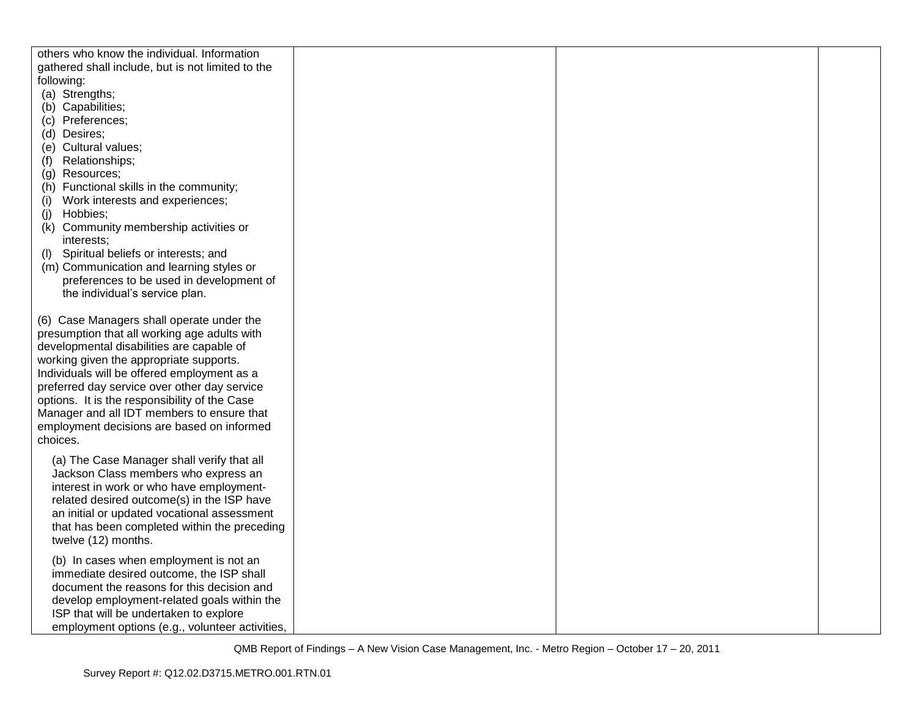| others who know the individual. Information       |  |  |
|---------------------------------------------------|--|--|
| gathered shall include, but is not limited to the |  |  |
| following:                                        |  |  |
| (a) Strengths;                                    |  |  |
| (b) Capabilities;                                 |  |  |
| (c) Preferences;                                  |  |  |
| (d) Desires;                                      |  |  |
| (e) Cultural values;                              |  |  |
| Relationships;<br>(f)                             |  |  |
| (g) Resources;                                    |  |  |
| (h) Functional skills in the community;           |  |  |
| Work interests and experiences;<br>(i)            |  |  |
| Hobbies;<br>(j)                                   |  |  |
| (k) Community membership activities or            |  |  |
| interests;                                        |  |  |
| Spiritual beliefs or interests; and<br>(I)        |  |  |
| (m) Communication and learning styles or          |  |  |
| preferences to be used in development of          |  |  |
| the individual's service plan.                    |  |  |
|                                                   |  |  |
| (6) Case Managers shall operate under the         |  |  |
| presumption that all working age adults with      |  |  |
| developmental disabilities are capable of         |  |  |
| working given the appropriate supports.           |  |  |
| Individuals will be offered employment as a       |  |  |
| preferred day service over other day service      |  |  |
| options. It is the responsibility of the Case     |  |  |
| Manager and all IDT members to ensure that        |  |  |
| employment decisions are based on informed        |  |  |
| choices.                                          |  |  |
|                                                   |  |  |
| (a) The Case Manager shall verify that all        |  |  |
| Jackson Class members who express an              |  |  |
| interest in work or who have employment-          |  |  |
| related desired outcome(s) in the ISP have        |  |  |
| an initial or updated vocational assessment       |  |  |
| that has been completed within the preceding      |  |  |
| twelve (12) months.                               |  |  |
| (b) In cases when employment is not an            |  |  |
| immediate desired outcome, the ISP shall          |  |  |
| document the reasons for this decision and        |  |  |
| develop employment-related goals within the       |  |  |
| ISP that will be undertaken to explore            |  |  |
| employment options (e.g., volunteer activities,   |  |  |
|                                                   |  |  |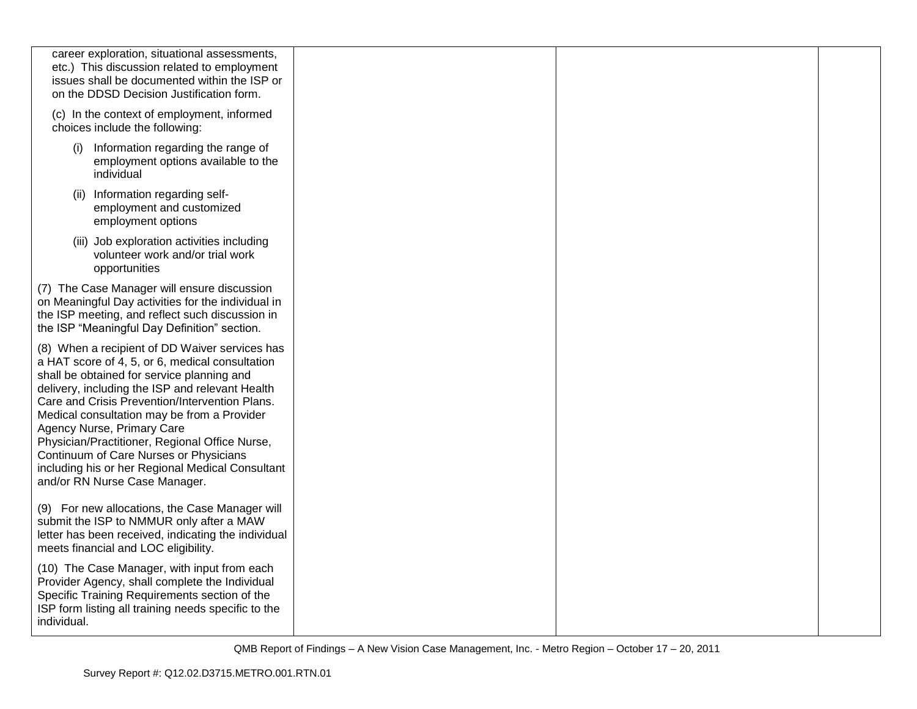| career exploration, situational assessments,<br>etc.) This discussion related to employment<br>issues shall be documented within the ISP or<br>on the DDSD Decision Justification form.                                                                                                                                                                                                                                                                                                                            |  |  |
|--------------------------------------------------------------------------------------------------------------------------------------------------------------------------------------------------------------------------------------------------------------------------------------------------------------------------------------------------------------------------------------------------------------------------------------------------------------------------------------------------------------------|--|--|
| (c) In the context of employment, informed<br>choices include the following:                                                                                                                                                                                                                                                                                                                                                                                                                                       |  |  |
| Information regarding the range of<br>(i)<br>employment options available to the<br>individual                                                                                                                                                                                                                                                                                                                                                                                                                     |  |  |
| Information regarding self-<br>(ii)<br>employment and customized<br>employment options                                                                                                                                                                                                                                                                                                                                                                                                                             |  |  |
| (iii) Job exploration activities including<br>volunteer work and/or trial work<br>opportunities                                                                                                                                                                                                                                                                                                                                                                                                                    |  |  |
| (7) The Case Manager will ensure discussion<br>on Meaningful Day activities for the individual in<br>the ISP meeting, and reflect such discussion in<br>the ISP "Meaningful Day Definition" section.                                                                                                                                                                                                                                                                                                               |  |  |
| (8) When a recipient of DD Waiver services has<br>a HAT score of 4, 5, or 6, medical consultation<br>shall be obtained for service planning and<br>delivery, including the ISP and relevant Health<br>Care and Crisis Prevention/Intervention Plans.<br>Medical consultation may be from a Provider<br>Agency Nurse, Primary Care<br>Physician/Practitioner, Regional Office Nurse,<br>Continuum of Care Nurses or Physicians<br>including his or her Regional Medical Consultant<br>and/or RN Nurse Case Manager. |  |  |
| (9) For new allocations, the Case Manager will<br>submit the ISP to NMMUR only after a MAW<br>letter has been received, indicating the individual<br>meets financial and LOC eligibility.                                                                                                                                                                                                                                                                                                                          |  |  |
| (10) The Case Manager, with input from each<br>Provider Agency, shall complete the Individual<br>Specific Training Requirements section of the<br>ISP form listing all training needs specific to the<br>individual.                                                                                                                                                                                                                                                                                               |  |  |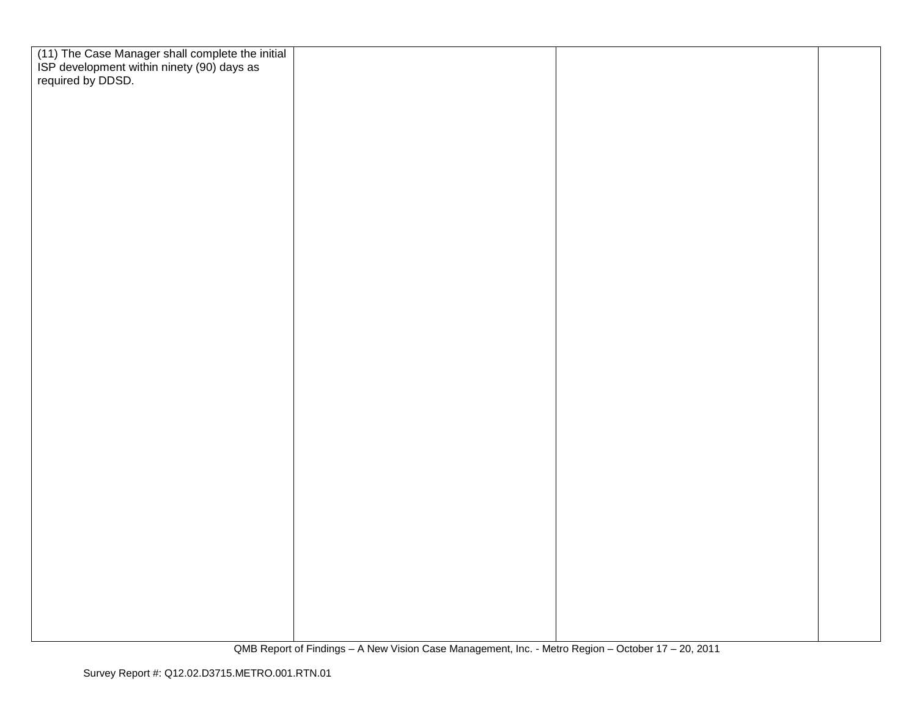| (11) The Case Manager shall complete the initial<br>ISP development within ninety (90) days as<br>required by DDSD. |  |  |
|---------------------------------------------------------------------------------------------------------------------|--|--|
|                                                                                                                     |  |  |
|                                                                                                                     |  |  |
|                                                                                                                     |  |  |
|                                                                                                                     |  |  |
|                                                                                                                     |  |  |
|                                                                                                                     |  |  |
|                                                                                                                     |  |  |
|                                                                                                                     |  |  |
|                                                                                                                     |  |  |
|                                                                                                                     |  |  |
|                                                                                                                     |  |  |
|                                                                                                                     |  |  |
|                                                                                                                     |  |  |
|                                                                                                                     |  |  |
|                                                                                                                     |  |  |
|                                                                                                                     |  |  |
|                                                                                                                     |  |  |
|                                                                                                                     |  |  |
|                                                                                                                     |  |  |
|                                                                                                                     |  |  |
|                                                                                                                     |  |  |
|                                                                                                                     |  |  |
|                                                                                                                     |  |  |
|                                                                                                                     |  |  |
|                                                                                                                     |  |  |
|                                                                                                                     |  |  |
|                                                                                                                     |  |  |
|                                                                                                                     |  |  |
|                                                                                                                     |  |  |
|                                                                                                                     |  |  |
|                                                                                                                     |  |  |
|                                                                                                                     |  |  |
|                                                                                                                     |  |  |
|                                                                                                                     |  |  |
|                                                                                                                     |  |  |
|                                                                                                                     |  |  |
|                                                                                                                     |  |  |
|                                                                                                                     |  |  |
|                                                                                                                     |  |  |
|                                                                                                                     |  |  |
|                                                                                                                     |  |  |
|                                                                                                                     |  |  |
|                                                                                                                     |  |  |
|                                                                                                                     |  |  |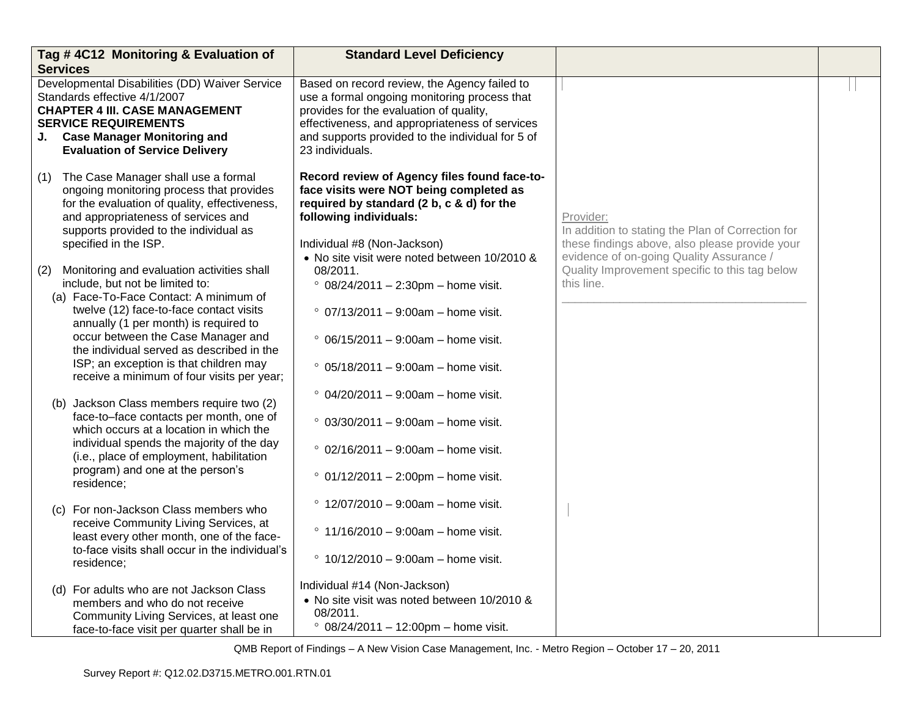| <b>Services</b> | Tag #4C12 Monitoring & Evaluation of                                                                                                                                                                                                           | <b>Standard Level Deficiency</b>                                                                                                                                                                                                                                 |                                                                                                                                                              |  |
|-----------------|------------------------------------------------------------------------------------------------------------------------------------------------------------------------------------------------------------------------------------------------|------------------------------------------------------------------------------------------------------------------------------------------------------------------------------------------------------------------------------------------------------------------|--------------------------------------------------------------------------------------------------------------------------------------------------------------|--|
|                 | Developmental Disabilities (DD) Waiver Service<br>Standards effective 4/1/2007<br><b>CHAPTER 4 III. CASE MANAGEMENT</b><br><b>SERVICE REQUIREMENTS</b><br>J. Case Manager Monitoring and<br><b>Evaluation of Service Delivery</b>              | Based on record review, the Agency failed to<br>use a formal ongoing monitoring process that<br>provides for the evaluation of quality,<br>effectiveness, and appropriateness of services<br>and supports provided to the individual for 5 of<br>23 individuals. |                                                                                                                                                              |  |
|                 | (1) The Case Manager shall use a formal<br>ongoing monitoring process that provides<br>for the evaluation of quality, effectiveness,<br>and appropriateness of services and<br>supports provided to the individual as<br>specified in the ISP. | Record review of Agency files found face-to-<br>face visits were NOT being completed as<br>required by standard (2 b, c & d) for the<br>following individuals:<br>Individual #8 (Non-Jackson)<br>• No site visit were noted between 10/2010 &                    | Provider:<br>In addition to stating the Plan of Correction for<br>these findings above, also please provide your<br>evidence of on-going Quality Assurance / |  |
| (2)             | Monitoring and evaluation activities shall<br>include, but not be limited to:<br>(a) Face-To-Face Contact: A minimum of                                                                                                                        | 08/2011.<br>$° 08/24/2011 - 2:30pm - home visit.$                                                                                                                                                                                                                | Quality Improvement specific to this tag below<br>this line.                                                                                                 |  |
|                 | twelve (12) face-to-face contact visits<br>annually (1 per month) is required to<br>occur between the Case Manager and<br>the individual served as described in the                                                                            | $\degree$ 07/13/2011 – 9:00am – home visit.<br>$\degree$ 06/15/2011 – 9:00am – home visit.                                                                                                                                                                       |                                                                                                                                                              |  |
|                 | ISP; an exception is that children may<br>receive a minimum of four visits per year;                                                                                                                                                           | $°$ 05/18/2011 - 9:00am - home visit.                                                                                                                                                                                                                            |                                                                                                                                                              |  |
|                 | (b) Jackson Class members require two (2)<br>face-to-face contacts per month, one of<br>which occurs at a location in which the                                                                                                                | $\degree$ 04/20/2011 – 9:00am – home visit.<br>$°$ 03/30/2011 - 9:00am - home visit.                                                                                                                                                                             |                                                                                                                                                              |  |
|                 | individual spends the majority of the day<br>(i.e., place of employment, habilitation                                                                                                                                                          | $\degree$ 02/16/2011 – 9:00am – home visit.                                                                                                                                                                                                                      |                                                                                                                                                              |  |
|                 | program) and one at the person's<br>residence;                                                                                                                                                                                                 | $° 01/12/2011 - 2:00 \text{pm} - \text{home visit.}$                                                                                                                                                                                                             |                                                                                                                                                              |  |
|                 | (c) For non-Jackson Class members who<br>receive Community Living Services, at                                                                                                                                                                 | $\degree$ 12/07/2010 – 9:00am – home visit.                                                                                                                                                                                                                      |                                                                                                                                                              |  |
|                 | least every other month, one of the face-<br>to-face visits shall occur in the individual's<br>residence;                                                                                                                                      | $\degree$ 11/16/2010 - 9:00am - home visit.<br>$\degree$ 10/12/2010 - 9:00am - home visit.                                                                                                                                                                       |                                                                                                                                                              |  |
|                 | (d) For adults who are not Jackson Class<br>members and who do not receive<br>Community Living Services, at least one<br>face-to-face visit per quarter shall be in                                                                            | Individual #14 (Non-Jackson)<br>• No site visit was noted between 10/2010 &<br>08/2011.<br>$° 08/24/2011 - 12:00 \text{pm} - \text{home visit.}$                                                                                                                 |                                                                                                                                                              |  |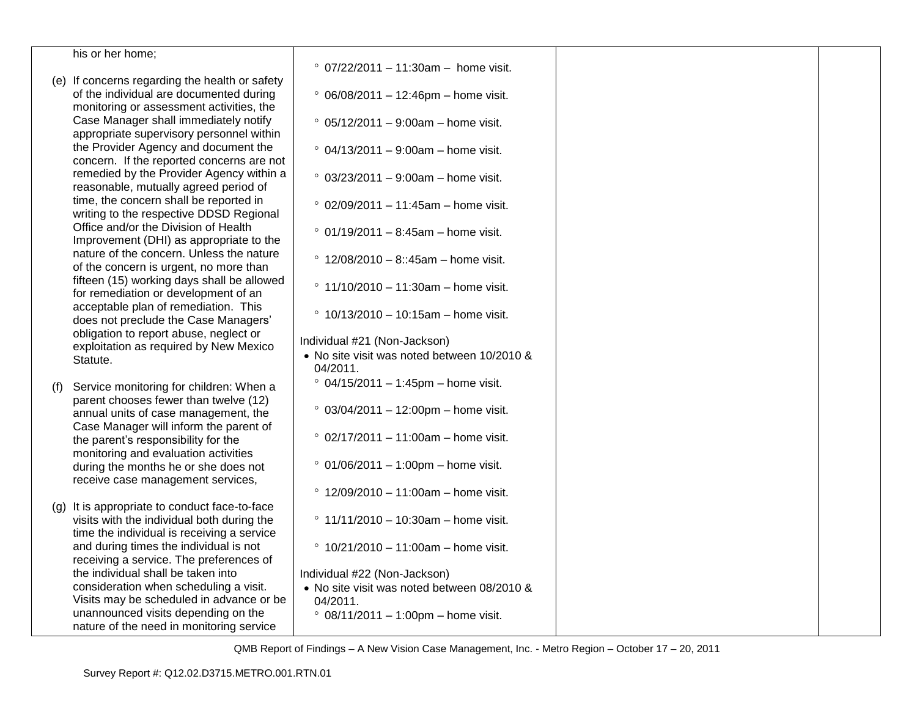|     | his or her home;                                   |                                                       |  |
|-----|----------------------------------------------------|-------------------------------------------------------|--|
|     |                                                    | $°$ 07/22/2011 - 11:30am - home visit.                |  |
|     | (e) If concerns regarding the health or safety     |                                                       |  |
|     | of the individual are documented during            | $°$ 06/08/2011 - 12:46pm - home visit.                |  |
|     | monitoring or assessment activities, the           |                                                       |  |
|     | Case Manager shall immediately notify              | $\degree$ 05/12/2011 - 9:00am - home visit.           |  |
|     | appropriate supervisory personnel within           |                                                       |  |
|     | the Provider Agency and document the               | $\degree$ 04/13/2011 – 9:00am – home visit.           |  |
|     | concern. If the reported concerns are not          |                                                       |  |
|     | remedied by the Provider Agency within a           | $° 03/23/2011 - 9:00am - home visit.$                 |  |
|     | reasonable, mutually agreed period of              |                                                       |  |
|     | time, the concern shall be reported in             | $°$ 02/09/2011 - 11:45am - home visit.                |  |
|     | writing to the respective DDSD Regional            |                                                       |  |
|     | Office and/or the Division of Health               | $°$ 01/19/2011 - 8:45am - home visit.                 |  |
|     | Improvement (DHI) as appropriate to the            |                                                       |  |
|     | nature of the concern. Unless the nature           | $^{\circ}$ 12/08/2010 - 8::45am - home visit.         |  |
|     | of the concern is urgent, no more than             |                                                       |  |
|     | fifteen (15) working days shall be allowed         | $^{\circ}$ 11/10/2010 - 11:30am - home visit.         |  |
|     | for remediation or development of an               |                                                       |  |
|     | acceptable plan of remediation. This               | $^{\circ}$ 10/13/2010 - 10:15am - home visit.         |  |
|     | does not preclude the Case Managers'               |                                                       |  |
|     | obligation to report abuse, neglect or             | Individual #21 (Non-Jackson)                          |  |
|     | exploitation as required by New Mexico<br>Statute. | • No site visit was noted between 10/2010 &           |  |
|     |                                                    | 04/2011.                                              |  |
| (f) | Service monitoring for children: When a            | $°$ 04/15/2011 - 1:45pm - home visit.                 |  |
|     | parent chooses fewer than twelve (12)              |                                                       |  |
|     | annual units of case management, the               | $° 03/04/2011 - 12:00 \text{pm} - \text{home visit.}$ |  |
|     | Case Manager will inform the parent of             |                                                       |  |
|     | the parent's responsibility for the                | $°$ 02/17/2011 - 11:00am - home visit.                |  |
|     | monitoring and evaluation activities               |                                                       |  |
|     | during the months he or she does not               | $° 01/06/2011 - 1:00 \text{pm} - \text{home visit.}$  |  |
|     | receive case management services,                  |                                                       |  |
|     |                                                    | $^{\circ}$ 12/09/2010 - 11:00am - home visit.         |  |
|     | (g) It is appropriate to conduct face-to-face      |                                                       |  |
|     | visits with the individual both during the         | $\degree$ 11/11/2010 - 10:30am - home visit.          |  |
|     | time the individual is receiving a service         |                                                       |  |
|     | and during times the individual is not             | $^{\circ}$ 10/21/2010 - 11:00am - home visit.         |  |
|     | receiving a service. The preferences of            |                                                       |  |
|     | the individual shall be taken into                 | Individual #22 (Non-Jackson)                          |  |
|     | consideration when scheduling a visit.             | • No site visit was noted between 08/2010 &           |  |
|     | Visits may be scheduled in advance or be           | 04/2011.                                              |  |
|     | unannounced visits depending on the                | $° 08/11/2011 - 1:00 \text{pm} - \text{home visit.}$  |  |
|     | nature of the need in monitoring service           |                                                       |  |
|     |                                                    |                                                       |  |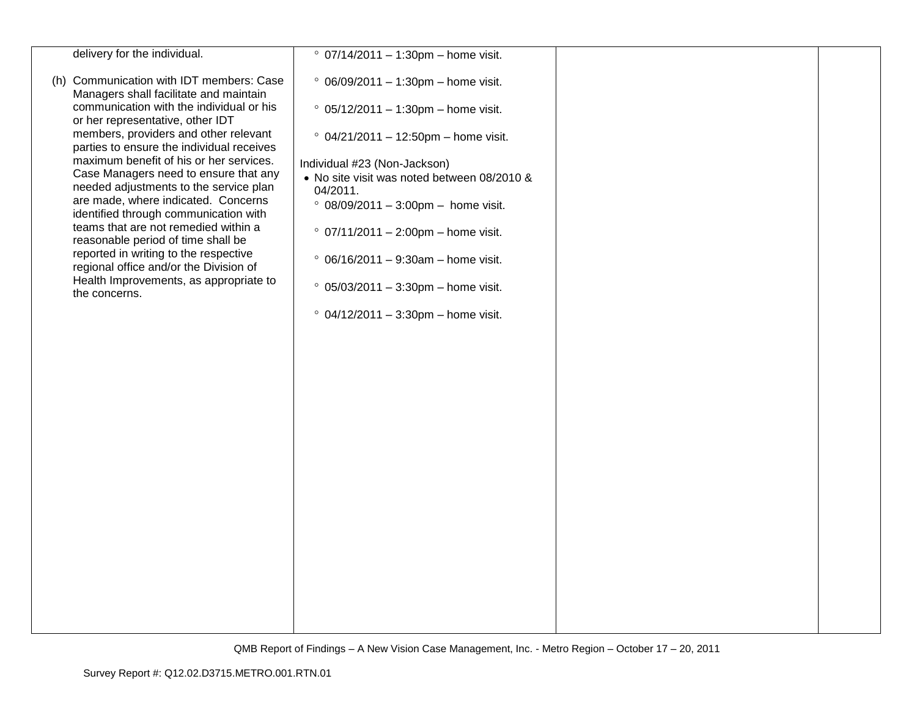| delivery for the individual.                                                       | $° 07/14/2011 - 1:30pm - home visit.$                                       |  |
|------------------------------------------------------------------------------------|-----------------------------------------------------------------------------|--|
| (h) Communication with IDT members: Case<br>Managers shall facilitate and maintain | $°06/09/2011 - 1:30pm - home visit.$                                        |  |
| communication with the individual or his<br>or her representative, other IDT       | $° 05/12/2011 - 1:30pm - home visit.$                                       |  |
| members, providers and other relevant<br>parties to ensure the individual receives | $° 04/21/2011 - 12:50pm - home visit.$                                      |  |
| maximum benefit of his or her services.<br>Case Managers need to ensure that any   | Individual #23 (Non-Jackson)<br>• No site visit was noted between 08/2010 & |  |
| needed adjustments to the service plan<br>are made, where indicated. Concerns      | 04/2011.                                                                    |  |
| identified through communication with                                              | $°$ 08/09/2011 - 3:00pm - home visit.                                       |  |
| teams that are not remedied within a<br>reasonable period of time shall be         | $° 07/11/2011 - 2:00$ pm – home visit.                                      |  |
| reported in writing to the respective<br>regional office and/or the Division of    | $°$ 06/16/2011 - 9:30am - home visit.                                       |  |
| Health Improvements, as appropriate to<br>the concerns.                            | $° 05/03/2011 - 3:30$ pm - home visit.                                      |  |
|                                                                                    | $° 04/12/2011 - 3:30$ pm - home visit.                                      |  |
|                                                                                    |                                                                             |  |
|                                                                                    |                                                                             |  |
|                                                                                    |                                                                             |  |
|                                                                                    |                                                                             |  |
|                                                                                    |                                                                             |  |
|                                                                                    |                                                                             |  |
|                                                                                    |                                                                             |  |
|                                                                                    |                                                                             |  |
|                                                                                    |                                                                             |  |
|                                                                                    |                                                                             |  |
|                                                                                    |                                                                             |  |
|                                                                                    |                                                                             |  |
|                                                                                    |                                                                             |  |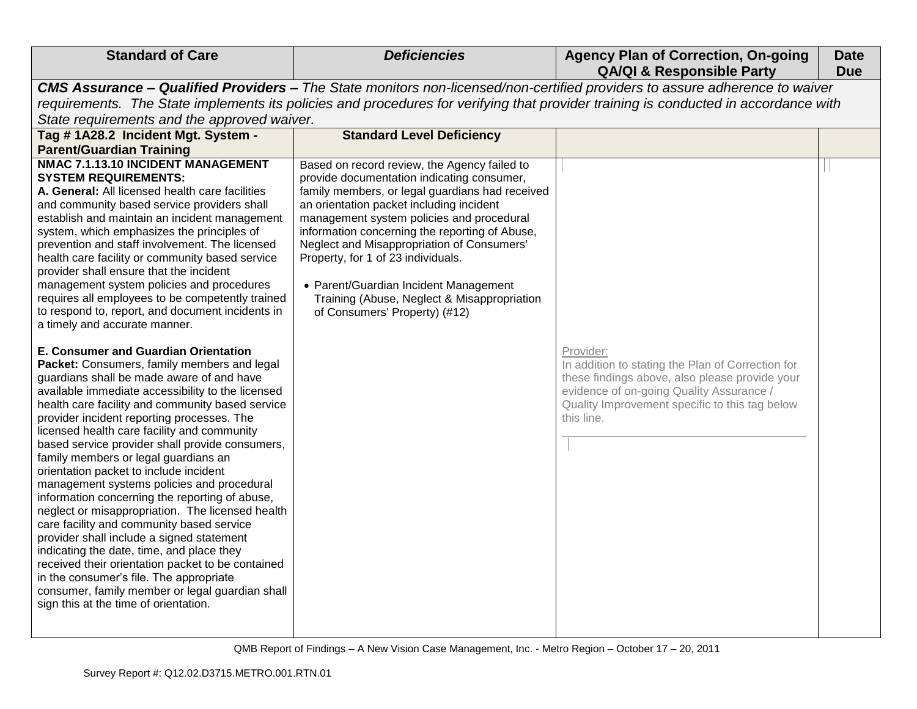| CMS Assurance - Qualified Providers - The State monitors non-licensed/non-certified providers to assure adherence to waiver<br>requirements. The State implements its policies and procedures for verifying that provider training is conducted in accordance with<br>State requirements and the approved waiver.                                                                                                                                                                                                                                                                                                                                                                                                                                                                                                                                                                                                                                                                                                                                                                                                                                                                                                                                                                                                                                                                                                                                                                                                                                                                                                                                                                                                                                                                                                                                                                                                                                                                                                                                                                                                                                                                                                                                                                                                       |  |
|-------------------------------------------------------------------------------------------------------------------------------------------------------------------------------------------------------------------------------------------------------------------------------------------------------------------------------------------------------------------------------------------------------------------------------------------------------------------------------------------------------------------------------------------------------------------------------------------------------------------------------------------------------------------------------------------------------------------------------------------------------------------------------------------------------------------------------------------------------------------------------------------------------------------------------------------------------------------------------------------------------------------------------------------------------------------------------------------------------------------------------------------------------------------------------------------------------------------------------------------------------------------------------------------------------------------------------------------------------------------------------------------------------------------------------------------------------------------------------------------------------------------------------------------------------------------------------------------------------------------------------------------------------------------------------------------------------------------------------------------------------------------------------------------------------------------------------------------------------------------------------------------------------------------------------------------------------------------------------------------------------------------------------------------------------------------------------------------------------------------------------------------------------------------------------------------------------------------------------------------------------------------------------------------------------------------------|--|
|                                                                                                                                                                                                                                                                                                                                                                                                                                                                                                                                                                                                                                                                                                                                                                                                                                                                                                                                                                                                                                                                                                                                                                                                                                                                                                                                                                                                                                                                                                                                                                                                                                                                                                                                                                                                                                                                                                                                                                                                                                                                                                                                                                                                                                                                                                                         |  |
|                                                                                                                                                                                                                                                                                                                                                                                                                                                                                                                                                                                                                                                                                                                                                                                                                                                                                                                                                                                                                                                                                                                                                                                                                                                                                                                                                                                                                                                                                                                                                                                                                                                                                                                                                                                                                                                                                                                                                                                                                                                                                                                                                                                                                                                                                                                         |  |
|                                                                                                                                                                                                                                                                                                                                                                                                                                                                                                                                                                                                                                                                                                                                                                                                                                                                                                                                                                                                                                                                                                                                                                                                                                                                                                                                                                                                                                                                                                                                                                                                                                                                                                                                                                                                                                                                                                                                                                                                                                                                                                                                                                                                                                                                                                                         |  |
| Tag #1A28.2 Incident Mgt. System -<br><b>Standard Level Deficiency</b>                                                                                                                                                                                                                                                                                                                                                                                                                                                                                                                                                                                                                                                                                                                                                                                                                                                                                                                                                                                                                                                                                                                                                                                                                                                                                                                                                                                                                                                                                                                                                                                                                                                                                                                                                                                                                                                                                                                                                                                                                                                                                                                                                                                                                                                  |  |
| <b>Parent/Guardian Training</b>                                                                                                                                                                                                                                                                                                                                                                                                                                                                                                                                                                                                                                                                                                                                                                                                                                                                                                                                                                                                                                                                                                                                                                                                                                                                                                                                                                                                                                                                                                                                                                                                                                                                                                                                                                                                                                                                                                                                                                                                                                                                                                                                                                                                                                                                                         |  |
| NMAC 7.1.13.10 INCIDENT MANAGEMENT<br>Based on record review, the Agency failed to<br><b>SYSTEM REQUIREMENTS:</b><br>provide documentation indicating consumer,<br>family members, or legal guardians had received<br>A. General: All licensed health care facilities<br>and community based service providers shall<br>an orientation packet including incident<br>management system policies and procedural<br>establish and maintain an incident management<br>information concerning the reporting of Abuse,<br>system, which emphasizes the principles of<br>prevention and staff involvement. The licensed<br>Neglect and Misappropriation of Consumers'<br>health care facility or community based service<br>Property, for 1 of 23 individuals.<br>provider shall ensure that the incident<br>management system policies and procedures<br>• Parent/Guardian Incident Management<br>requires all employees to be competently trained<br>Training (Abuse, Neglect & Misappropriation<br>to respond to, report, and document incidents in<br>of Consumers' Property) (#12)<br>a timely and accurate manner.<br>E. Consumer and Guardian Orientation<br>Provider:<br>In addition to stating the Plan of Correction for<br>Packet: Consumers, family members and legal<br>guardians shall be made aware of and have<br>these findings above, also please provide your<br>evidence of on-going Quality Assurance /<br>available immediate accessibility to the licensed<br>health care facility and community based service<br>Quality Improvement specific to this tag below<br>provider incident reporting processes. The<br>this line.<br>licensed health care facility and community<br>based service provider shall provide consumers,<br>family members or legal guardians an<br>orientation packet to include incident<br>management systems policies and procedural<br>information concerning the reporting of abuse,<br>neglect or misappropriation. The licensed health<br>care facility and community based service<br>provider shall include a signed statement<br>indicating the date, time, and place they<br>received their orientation packet to be contained<br>in the consumer's file. The appropriate<br>consumer, family member or legal guardian shall<br>sign this at the time of orientation. |  |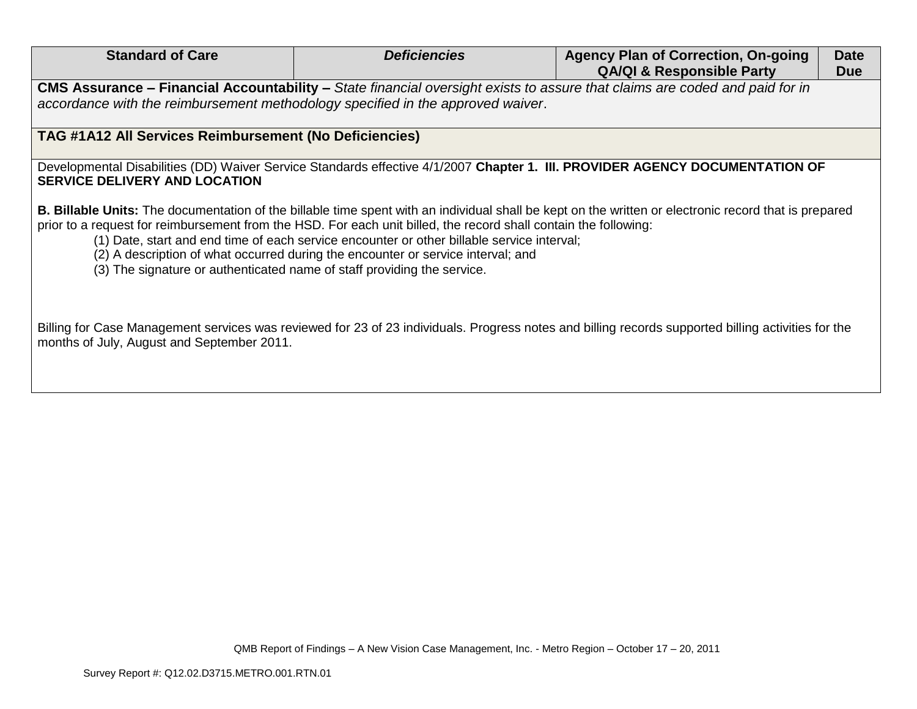| <b>Standard of Care</b>                                                         | <b>Deficiencies</b>                                                                                                                                                                                                                                                                                | <b>Agency Plan of Correction, On-going</b><br><b>QA/QI &amp; Responsible Party</b>                                                                           | <b>Date</b><br><b>Due</b> |
|---------------------------------------------------------------------------------|----------------------------------------------------------------------------------------------------------------------------------------------------------------------------------------------------------------------------------------------------------------------------------------------------|--------------------------------------------------------------------------------------------------------------------------------------------------------------|---------------------------|
| accordance with the reimbursement methodology specified in the approved waiver. | CMS Assurance – Financial Accountability – State financial oversight exists to assure that claims are coded and paid for in                                                                                                                                                                        |                                                                                                                                                              |                           |
| TAG #1A12 All Services Reimbursement (No Deficiencies)                          |                                                                                                                                                                                                                                                                                                    |                                                                                                                                                              |                           |
| <b>SERVICE DELIVERY AND LOCATION</b>                                            |                                                                                                                                                                                                                                                                                                    | Developmental Disabilities (DD) Waiver Service Standards effective 4/1/2007 Chapter 1. III. PROVIDER AGENCY DOCUMENTATION OF                                 |                           |
| (3) The signature or authenticated name of staff providing the service.         | prior to a request for reimbursement from the HSD. For each unit billed, the record shall contain the following:<br>(1) Date, start and end time of each service encounter or other billable service interval;<br>(2) A description of what occurred during the encounter or service interval; and | <b>B. Billable Units:</b> The documentation of the billable time spent with an individual shall be kept on the written or electronic record that is prepared |                           |
| months of July, August and September 2011.                                      |                                                                                                                                                                                                                                                                                                    | Billing for Case Management services was reviewed for 23 of 23 individuals. Progress notes and billing records supported billing activities for the          |                           |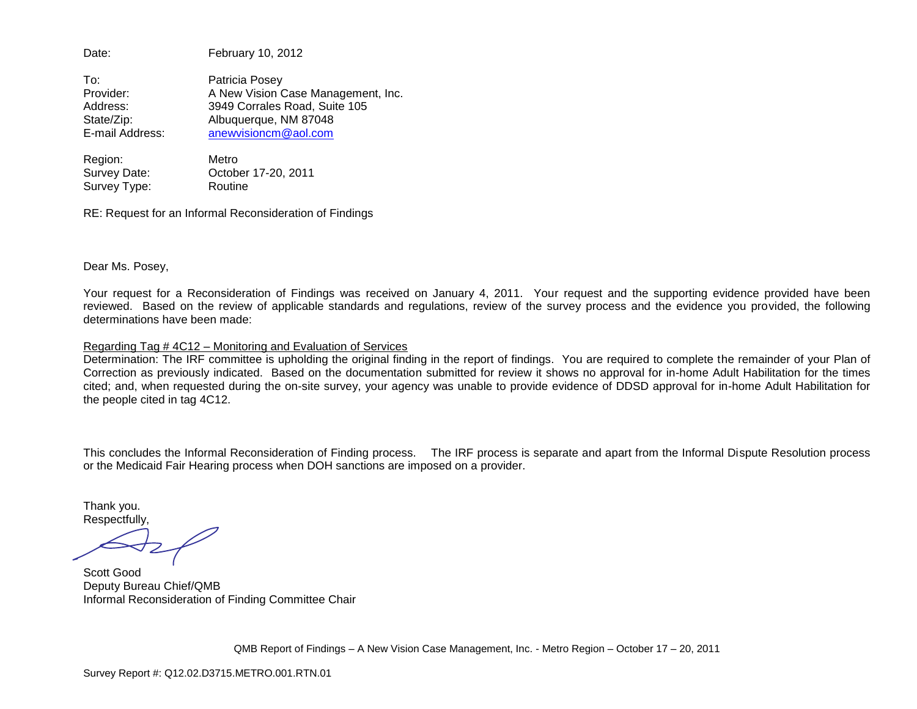Date: February 10, 2012

To: Patricia Posey Provider: A New Vision Case Management, Inc. Address: 3949 Corrales Road, Suite 105 State/Zip: Albuquerque, NM 87048 E-mail Address: [anewvisioncm@aol.com](mailto:anewvisioncm@aol.com)

Region: Metro Survey Date: October 17-20, 2011 Survey Type: Routine

RE: Request for an Informal Reconsideration of Findings

Dear Ms. Posey,

Your request for a Reconsideration of Findings was received on January 4, 2011. Your request and the supporting evidence provided have been reviewed. Based on the review of applicable standards and regulations, review of the survey process and the evidence you provided, the following determinations have been made:

#### Regarding Tag # 4C12 – Monitoring and Evaluation of Services

Determination: The IRF committee is upholding the original finding in the report of findings. You are required to complete the remainder of your Plan of Correction as previously indicated. Based on the documentation submitted for review it shows no approval for in-home Adult Habilitation for the times cited; and, when requested during the on-site survey, your agency was unable to provide evidence of DDSD approval for in-home Adult Habilitation for the people cited in tag 4C12.

This concludes the Informal Reconsideration of Finding process. The IRF process is separate and apart from the Informal Dispute Resolution process or the Medicaid Fair Hearing process when DOH sanctions are imposed on a provider.

Thank you. Respectfully,

Scott Good Deputy Bureau Chief/QMB Informal Reconsideration of Finding Committee Chair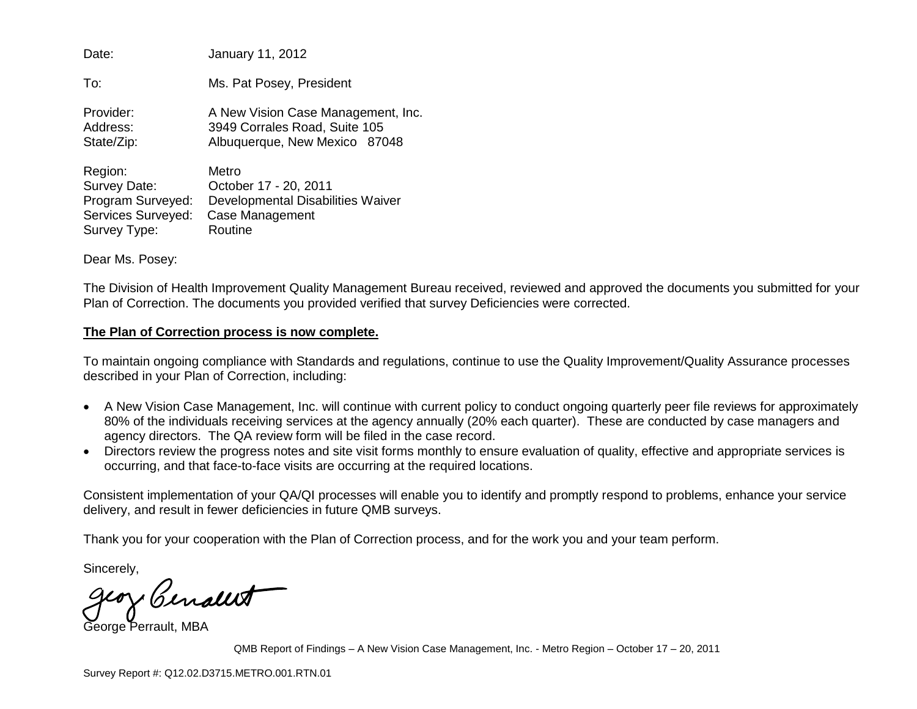| Date:              | January 11, 2012                   |
|--------------------|------------------------------------|
| To:                | Ms. Pat Posey, President           |
| Provider:          | A New Vision Case Management, Inc. |
| Address:           | 3949 Corrales Road, Suite 105      |
| State/Zip:         | Albuquerque, New Mexico 87048      |
| Region:            | Metro                              |
| Survey Date:       | October 17 - 20, 2011              |
| Program Surveyed:  | Developmental Disabilities Waiver  |
| Services Surveyed: | Case Management                    |
| Survey Type:       | Routine                            |

Dear Ms. Posey:

The Division of Health Improvement Quality Management Bureau received, reviewed and approved the documents you submitted for your Plan of Correction. The documents you provided verified that survey Deficiencies were corrected.

### **The Plan of Correction process is now complete.**

To maintain ongoing compliance with Standards and regulations, continue to use the Quality Improvement/Quality Assurance processes described in your Plan of Correction, including:

- A New Vision Case Management, Inc. will continue with current policy to conduct ongoing quarterly peer file reviews for approximately 80% of the individuals receiving services at the agency annually (20% each quarter). These are conducted by case managers and agency directors. The QA review form will be filed in the case record.
- Directors review the progress notes and site visit forms monthly to ensure evaluation of quality, effective and appropriate services is occurring, and that face-to-face visits are occurring at the required locations.

Consistent implementation of your QA/QI processes will enable you to identify and promptly respond to problems, enhance your service delivery, and result in fewer deficiencies in future QMB surveys.

Thank you for your cooperation with the Plan of Correction process, and for the work you and your team perform.

Sincerely,

Genally

George Perrault, MBA